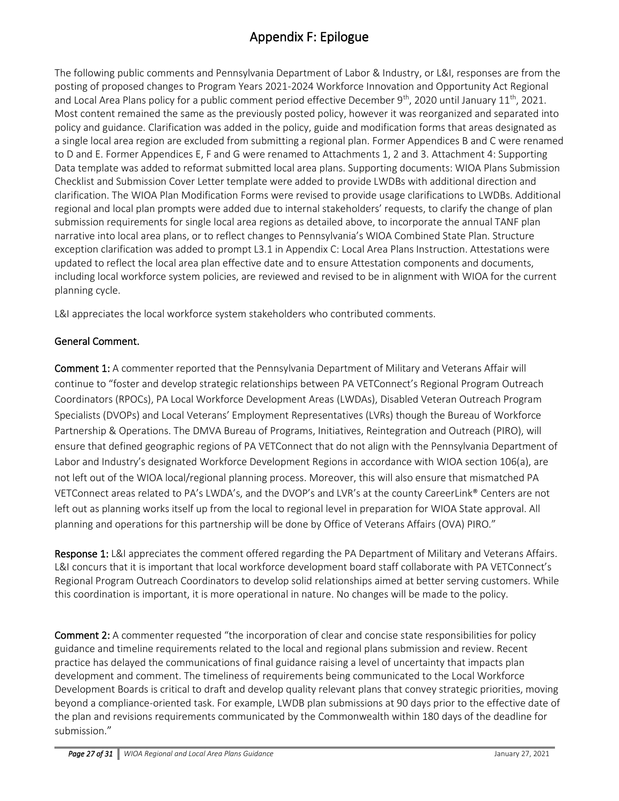The following public comments and Pennsylvania Department of Labor & Industry, or L&I, responses are from the posting of proposed changes to Program Years 2021-2024 Workforce Innovation and Opportunity Act Regional and Local Area Plans policy for a public comment period effective December 9<sup>th</sup>, 2020 until January 11<sup>th</sup>, 2021. Most content remained the same as the previously posted policy, however it was reorganized and separated into policy and guidance. Clarification was added in the policy, guide and modification forms that areas designated as a single local area region are excluded from submitting a regional plan. Former Appendices B and C were renamed to D and E. Former Appendices E, F and G were renamed to Attachments 1, 2 and 3. Attachment 4: Supporting Data template was added to reformat submitted local area plans. Supporting documents: WIOA Plans Submission Checklist and Submission Cover Letter template were added to provide LWDBs with additional direction and clarification. The WIOA Plan Modification Forms were revised to provide usage clarifications to LWDBs. Additional regional and local plan prompts were added due to internal stakeholders' requests, to clarify the change of plan submission requirements for single local area regions as detailed above, to incorporate the annual TANF plan narrative into local area plans, or to reflect changes to Pennsylvania's WIOA Combined State Plan. Structure exception clarification was added to prompt L3.1 in Appendix C: Local Area Plans Instruction. Attestations were updated to reflect the local area plan effective date and to ensure Attestation components and documents, including local workforce system policies, are reviewed and revised to be in alignment with WIOA for the current planning cycle.

L&I appreciates the local workforce system stakeholders who contributed comments.

## General Comment.

Comment 1: A commenter reported that the Pennsylvania Department of Military and Veterans Affair will continue to "foster and develop strategic relationships between PA VETConnect's Regional Program Outreach Coordinators (RPOCs), PA Local Workforce Development Areas (LWDAs), Disabled Veteran Outreach Program Specialists (DVOPs) and Local Veterans' Employment Representatives (LVRs) though the Bureau of Workforce Partnership & Operations. The DMVA Bureau of Programs, Initiatives, Reintegration and Outreach (PIRO), will ensure that defined geographic regions of PA VETConnect that do not align with the Pennsylvania Department of Labor and Industry's designated Workforce Development Regions in accordance with WIOA section 106(a), are not left out of the WIOA local/regional planning process. Moreover, this will also ensure that mismatched PA VETConnect areas related to PA's LWDA's, and the DVOP's and LVR's at the county CareerLink® Centers are not left out as planning works itself up from the local to regional level in preparation for WIOA State approval. All planning and operations for this partnership will be done by Office of Veterans Affairs (OVA) PIRO."

Response 1: L&I appreciates the comment offered regarding the PA Department of Military and Veterans Affairs. L&I concurs that it is important that local workforce development board staff collaborate with PA VETConnect's Regional Program Outreach Coordinators to develop solid relationships aimed at better serving customers. While this coordination is important, it is more operational in nature. No changes will be made to the policy.

Comment 2: A commenter requested "the incorporation of clear and concise state responsibilities for policy guidance and timeline requirements related to the local and regional plans submission and review. Recent practice has delayed the communications of final guidance raising a level of uncertainty that impacts plan development and comment. The timeliness of requirements being communicated to the Local Workforce Development Boards is critical to draft and develop quality relevant plans that convey strategic priorities, moving beyond a compliance-oriented task. For example, LWDB plan submissions at 90 days prior to the effective date of the plan and revisions requirements communicated by the Commonwealth within 180 days of the deadline for submission."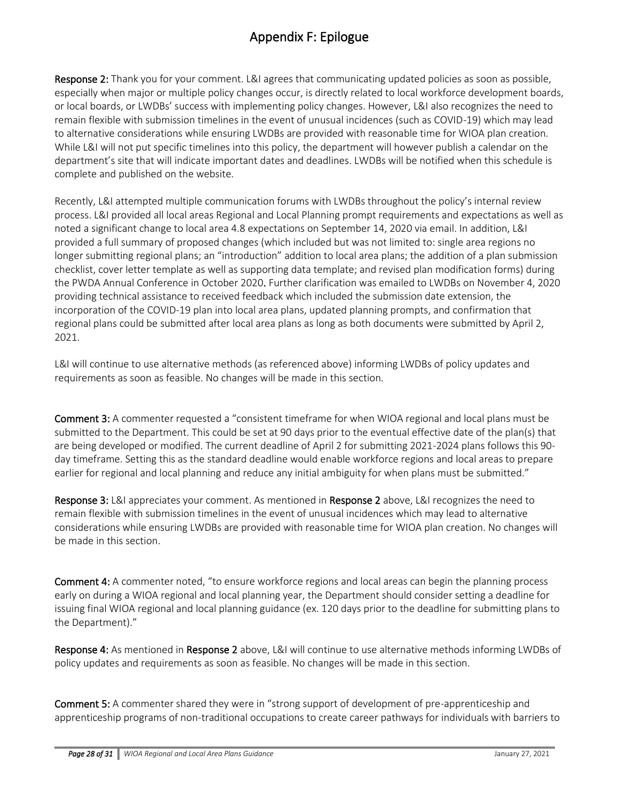Response 2: Thank you for your comment. L&I agrees that communicating updated policies as soon as possible, especially when major or multiple policy changes occur, is directly related to local workforce development boards, or local boards, or LWDBs' success with implementing policy changes. However, L&I also recognizes the need to remain flexible with submission timelines in the event of unusual incidences (such as COVID-19) which may lead to alternative considerations while ensuring LWDBs are provided with reasonable time for WIOA plan creation. While L&I will not put specific timelines into this policy, the department will however publish a calendar on the department's site that will indicate important dates and deadlines. LWDBs will be notified when this schedule is complete and published on the website.

Recently, L&I attempted multiple communication forums with LWDBs throughout the policy's internal review process. L&I provided all local areas Regional and Local Planning prompt requirements and expectations as well as noted a significant change to local area 4.8 expectations on September 14, 2020 via email. In addition, L&I provided a full summary of proposed changes (which included but was not limited to: single area regions no longer submitting regional plans; an "introduction" addition to local area plans; the addition of a plan submission checklist, cover letter template as well as supporting data template; and revised plan modification forms) during the PWDA Annual Conference in October 2020. Further clarification was emailed to LWDBs on November 4, 2020 providing technical assistance to received feedback which included the submission date extension, the incorporation of the COVID-19 plan into local area plans, updated planning prompts, and confirmation that regional plans could be submitted after local area plans as long as both documents were submitted by April 2, 2021.

L&I will continue to use alternative methods (as referenced above) informing LWDBs of policy updates and requirements as soon as feasible. No changes will be made in this section.

Comment 3: A commenter requested a "consistent timeframe for when WIOA regional and local plans must be submitted to the Department. This could be set at 90 days prior to the eventual effective date of the plan(s) that are being developed or modified. The current deadline of April 2 for submitting 2021-2024 plans follows this 90 day timeframe. Setting this as the standard deadline would enable workforce regions and local areas to prepare earlier for regional and local planning and reduce any initial ambiguity for when plans must be submitted."

Response 3: L&I appreciates your comment. As mentioned in Response 2 above, L&I recognizes the need to remain flexible with submission timelines in the event of unusual incidences which may lead to alternative considerations while ensuring LWDBs are provided with reasonable time for WIOA plan creation. No changes will be made in this section.

Comment 4: A commenter noted, "to ensure workforce regions and local areas can begin the planning process early on during a WIOA regional and local planning year, the Department should consider setting a deadline for issuing final WIOA regional and local planning guidance (ex. 120 days prior to the deadline for submitting plans to the Department)."

Response 4: As mentioned in Response 2 above, L&I will continue to use alternative methods informing LWDBs of policy updates and requirements as soon as feasible. No changes will be made in this section.

Comment 5: A commenter shared they were in "strong support of development of pre-apprenticeship and apprenticeship programs of non-traditional occupations to create career pathways for individuals with barriers to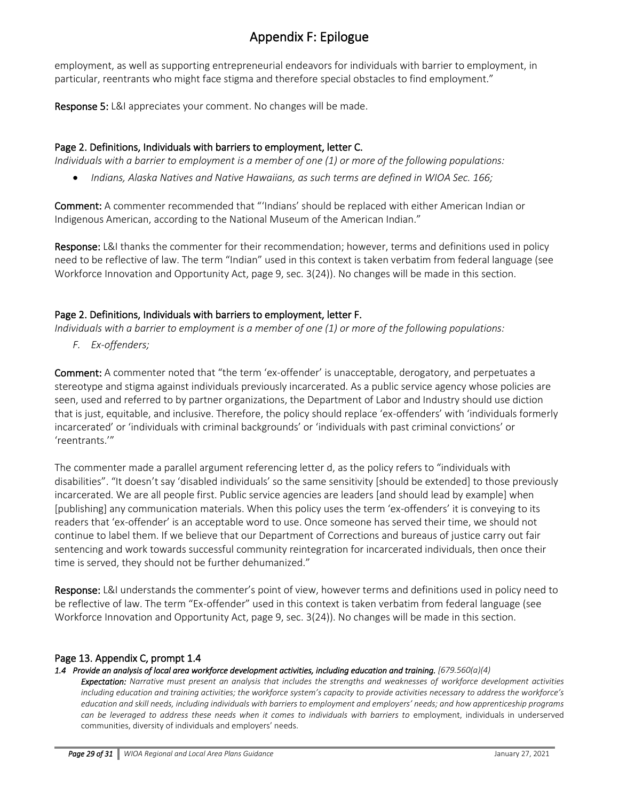employment, as well as supporting entrepreneurial endeavors for individuals with barrier to employment, in particular, reentrants who might face stigma and therefore special obstacles to find employment."

Response 5: L&I appreciates your comment. No changes will be made.

## Page 2. Definitions, Individuals with barriers to employment, letter C.

*Individuals with a barrier to employment is a member of one (1) or more of the following populations:*

• *Indians, Alaska Natives and Native Hawaiians, as such terms are defined in WIOA Sec. 166;*

Comment: A commenter recommended that "'Indians' should be replaced with either American Indian or Indigenous American, according to the National Museum of the American Indian."

Response: L&I thanks the commenter for their recommendation; however, terms and definitions used in policy need to be reflective of law. The term "Indian" used in this context is taken verbatim from federal language (see Workforce Innovation and Opportunity Act, page 9, sec. 3(24)). No changes will be made in this section.

## Page 2. Definitions, Individuals with barriers to employment, letter F.

*Individuals with a barrier to employment is a member of one (1) or more of the following populations:*

*F. Ex-offenders;*

Comment: A commenter noted that "the term 'ex-offender' is unacceptable, derogatory, and perpetuates a stereotype and stigma against individuals previously incarcerated. As a public service agency whose policies are seen, used and referred to by partner organizations, the Department of Labor and Industry should use diction that is just, equitable, and inclusive. Therefore, the policy should replace 'ex-offenders' with 'individuals formerly incarcerated' or 'individuals with criminal backgrounds' or 'individuals with past criminal convictions' or 'reentrants.'"

The commenter made a parallel argument referencing letter d, as the policy refers to "individuals with disabilities". "It doesn't say 'disabled individuals' so the same sensitivity [should be extended] to those previously incarcerated. We are all people first. Public service agencies are leaders [and should lead by example] when [publishing] any communication materials. When this policy uses the term 'ex-offenders' it is conveying to its readers that 'ex-offender' is an acceptable word to use. Once someone has served their time, we should not continue to label them. If we believe that our Department of Corrections and bureaus of justice carry out fair sentencing and work towards successful community reintegration for incarcerated individuals, then once their time is served, they should not be further dehumanized."

Response: L&I understands the commenter's point of view, however terms and definitions used in policy need to be reflective of law. The term "Ex-offender" used in this context is taken verbatim from federal language (see Workforce Innovation and Opportunity Act, page 9, sec. 3(24)). No changes will be made in this section.

## Page 13. Appendix C, prompt 1.4

#### *1.4 Provide an analysis of local area workforce development activities, including education and training. [679.560(a)(4)*

*Expectation: Narrative must present an analysis that includes the strengths and weaknesses of workforce development activities including education and training activities; the workforce system's capacity to provide activities necessary to address the workforce's education and skill needs, including individuals with barriers to employment and employers' needs; and how apprenticeship programs can be leveraged to address these needs when it comes to individuals with barriers to* employment, individuals in underserved communities, diversity of individuals and employers' needs.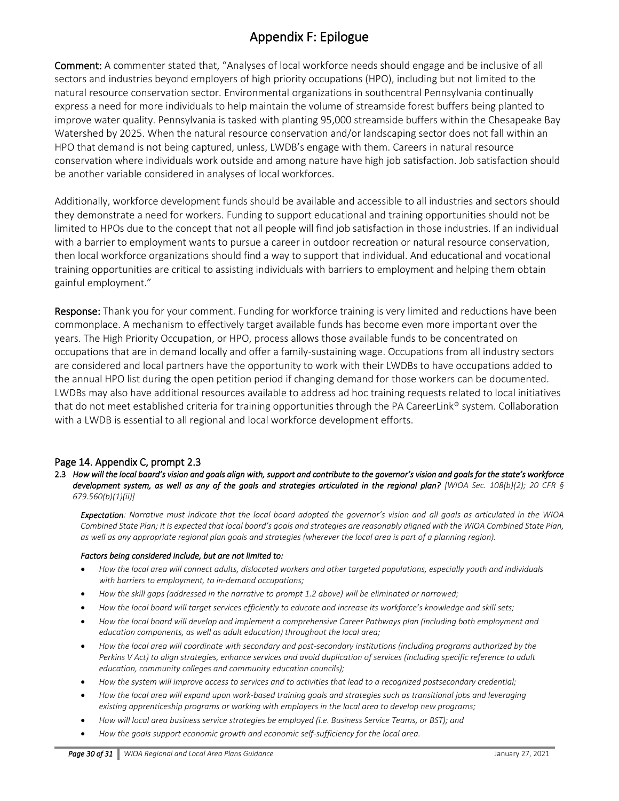Comment: A commenter stated that, "Analyses of local workforce needs should engage and be inclusive of all sectors and industries beyond employers of high priority occupations (HPO), including but not limited to the natural resource conservation sector. Environmental organizations in southcentral Pennsylvania continually express a need for more individuals to help maintain the volume of streamside forest buffers being planted to improve water quality. Pennsylvania is tasked with planting 95,000 streamside buffers within the Chesapeake Bay Watershed by 2025. When the natural resource conservation and/or landscaping sector does not fall within an HPO that demand is not being captured, unless, LWDB's engage with them. Careers in natural resource conservation where individuals work outside and among nature have high job satisfaction. Job satisfaction should be another variable considered in analyses of local workforces.

Additionally, workforce development funds should be available and accessible to all industries and sectors should they demonstrate a need for workers. Funding to support educational and training opportunities should not be limited to HPOs due to the concept that not all people will find job satisfaction in those industries. If an individual with a barrier to employment wants to pursue a career in outdoor recreation or natural resource conservation, then local workforce organizations should find a way to support that individual. And educational and vocational training opportunities are critical to assisting individuals with barriers to employment and helping them obtain gainful employment."

Response: Thank you for your comment. Funding for workforce training is very limited and reductions have been commonplace. A mechanism to effectively target available funds has become even more important over the years. The High Priority Occupation, or HPO, process allows those available funds to be concentrated on occupations that are in demand locally and offer a family-sustaining wage. Occupations from all industry sectors are considered and local partners have the opportunity to work with their LWDBs to have occupations added to the annual HPO list during the open petition period if changing demand for those workers can be documented. LWDBs may also have additional resources available to address ad hoc training requests related to local initiatives that do not meet established criteria for training opportunities through the PA CareerLink® system. Collaboration with a LWDB is essential to all regional and local workforce development efforts.

### Page 14. Appendix C, prompt 2.3

2.3 *How will the local board's vision and goals align with, support and contribute to the governor's vision and goals for the state's workforce development system, as well as any of the goals and strategies articulated in the regional plan? [WIOA Sec. 108(b)(2); 20 CFR § 679.560(b)(1)(ii)]* 

*Expectation: Narrative must indicate that the local board adopted the governor's vision and all goals as articulated in the WIOA*  Combined State Plan; it is expected that local board's goals and strategies are reasonably aligned with the WIOA Combined State Plan, as well as any appropriate regional plan goals and strategies (wherever the local area is part of a planning region).

#### *Factors being considered include, but are not limited to:*

- *How the local area will connect adults, dislocated workers and other targeted populations, especially youth and individuals with barriers to employment, to in-demand occupations;*
- *How the skill gaps (addressed in the narrative to prompt 1.2 above) will be eliminated or narrowed;*
- *How the local board will target services efficiently to educate and increase its workforce's knowledge and skill sets;*
- *How the local board will develop and implement a comprehensive Career Pathways plan (including both employment and education components, as well as adult education) throughout the local area;*
- *How the local area will coordinate with secondary and post-secondary institutions (including programs authorized by the Perkins V Act) to align strategies, enhance services and avoid duplication of services (including specific reference to adult education, community colleges and community education councils);*
- *How the system will improve access to services and to activities that lead to a recognized postsecondary credential;*
- *How the local area will expand upon work-based training goals and strategies such as transitional jobs and leveraging existing apprenticeship programs or working with employers in the local area to develop new programs;*
- *How will local area business service strategies be employed (i.e. Business Service Teams, or BST); and*
- *How the goals support economic growth and economic self-sufficiency for the local area.*